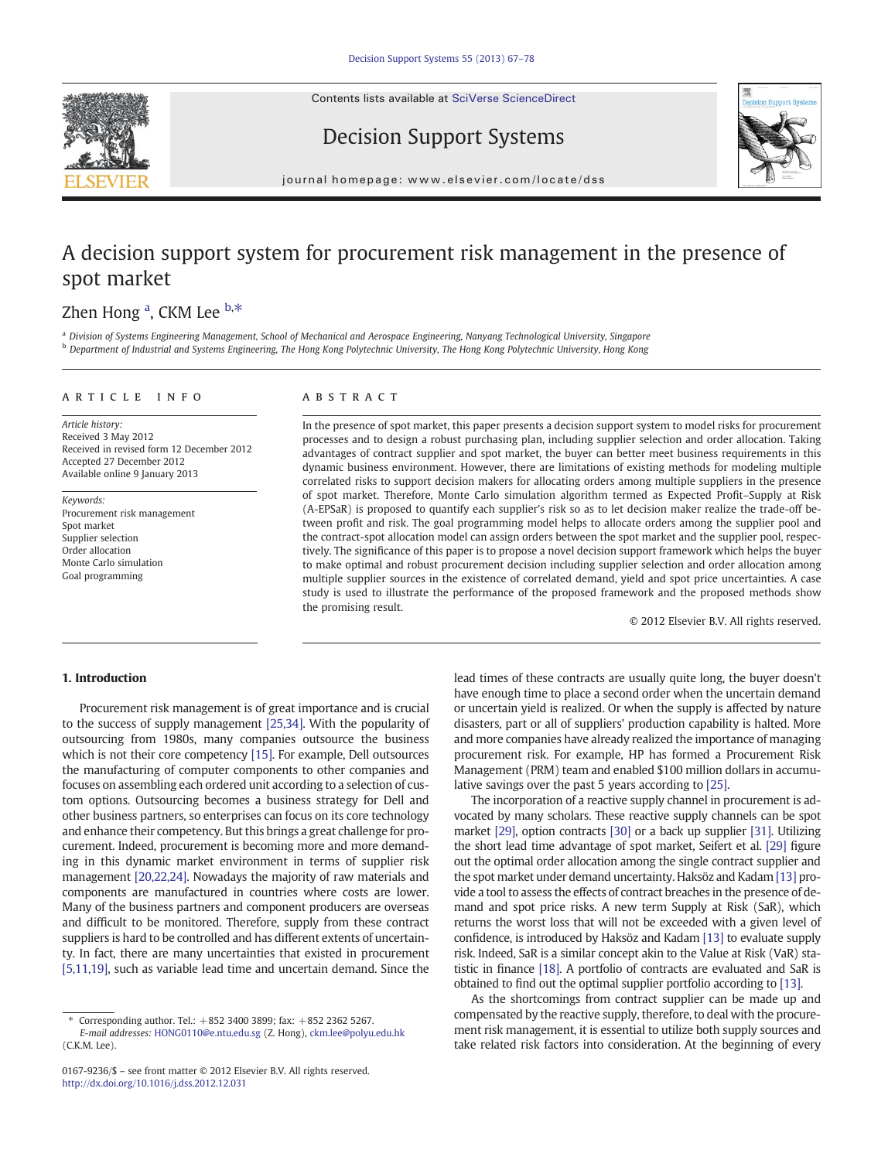Contents lists available at [SciVerse ScienceDirect](http://www.sciencedirect.com/science/journal/01679236)





Decision Support Systems

journal homepage: www.elsevier.com/locate/dss

## A decision support system for procurement risk management in the presence of spot market

## Zhen Hong <sup>a</sup>, CKM Lee <sup>b,\*</sup>

<sup>a</sup> Division of Systems Engineering Management, School of Mechanical and Aerospace Engineering, Nanyang Technological University, Singapore <sup>b</sup> Department of Industrial and Systems Engineering, The Hong Kong Polytechnic University, The Hong Kong Polytechnic University, Hong Kong

### article info abstract

Article history: Received 3 May 2012 Received in revised form 12 December 2012 Accepted 27 December 2012 Available online 9 January 2013

Keywords: Procurement risk management Spot market Supplier selection Order allocation Monte Carlo simulation Goal programming

In the presence of spot market, this paper presents a decision support system to model risks for procurement processes and to design a robust purchasing plan, including supplier selection and order allocation. Taking advantages of contract supplier and spot market, the buyer can better meet business requirements in this dynamic business environment. However, there are limitations of existing methods for modeling multiple correlated risks to support decision makers for allocating orders among multiple suppliers in the presence of spot market. Therefore, Monte Carlo simulation algorithm termed as Expected Profit–Supply at Risk (A-EPSaR) is proposed to quantify each supplier's risk so as to let decision maker realize the trade-off between profit and risk. The goal programming model helps to allocate orders among the supplier pool and the contract-spot allocation model can assign orders between the spot market and the supplier pool, respectively. The significance of this paper is to propose a novel decision support framework which helps the buyer to make optimal and robust procurement decision including supplier selection and order allocation among multiple supplier sources in the existence of correlated demand, yield and spot price uncertainties. A case study is used to illustrate the performance of the proposed framework and the proposed methods show the promising result.

© 2012 Elsevier B.V. All rights reserved.

### 1. Introduction

Procurement risk management is of great importance and is crucial to the success of supply management [\[25,34\]](#page--1-0). With the popularity of outsourcing from 1980s, many companies outsource the business which is not their core competency [\[15\]](#page--1-0). For example, Dell outsources the manufacturing of computer components to other companies and focuses on assembling each ordered unit according to a selection of custom options. Outsourcing becomes a business strategy for Dell and other business partners, so enterprises can focus on its core technology and enhance their competency. But this brings a great challenge for procurement. Indeed, procurement is becoming more and more demanding in this dynamic market environment in terms of supplier risk management [\[20,22,24\].](#page--1-0) Nowadays the majority of raw materials and components are manufactured in countries where costs are lower. Many of the business partners and component producers are overseas and difficult to be monitored. Therefore, supply from these contract suppliers is hard to be controlled and has different extents of uncertainty. In fact, there are many uncertainties that existed in procurement [\[5,11,19\],](#page--1-0) such as variable lead time and uncertain demand. Since the

lead times of these contracts are usually quite long, the buyer doesn't have enough time to place a second order when the uncertain demand or uncertain yield is realized. Or when the supply is affected by nature disasters, part or all of suppliers' production capability is halted. More and more companies have already realized the importance of managing procurement risk. For example, HP has formed a Procurement Risk Management (PRM) team and enabled \$100 million dollars in accumulative savings over the past 5 years according to [\[25\]](#page--1-0).

The incorporation of a reactive supply channel in procurement is advocated by many scholars. These reactive supply channels can be spot market [\[29\],](#page--1-0) option contracts [\[30\]](#page--1-0) or a back up supplier [\[31\]](#page--1-0). Utilizing the short lead time advantage of spot market, Seifert et al. [\[29\]](#page--1-0) figure out the optimal order allocation among the single contract supplier and the spot market under demand uncertainty. Haksöz and Kadam [\[13\]](#page--1-0) provide a tool to assess the effects of contract breaches in the presence of demand and spot price risks. A new term Supply at Risk (SaR), which returns the worst loss that will not be exceeded with a given level of confidence, is introduced by Haksöz and Kadam [\[13\]](#page--1-0) to evaluate supply risk. Indeed, SaR is a similar concept akin to the Value at Risk (VaR) statistic in finance [\[18\].](#page--1-0) A portfolio of contracts are evaluated and SaR is obtained to find out the optimal supplier portfolio according to [\[13\].](#page--1-0)

As the shortcomings from contract supplier can be made up and compensated by the reactive supply, therefore, to deal with the procurement risk management, it is essential to utilize both supply sources and take related risk factors into consideration. At the beginning of every

<sup>⁎</sup> Corresponding author. Tel.: +852 3400 3899; fax: +852 2362 5267. E-mail addresses: [HONG0110@e.ntu.edu.sg](mailto:HONG0110@e.ntu.edu.sg) (Z. Hong), [ckm.lee@polyu.edu.hk](mailto:ckm.lee@polyu.edu.hk) (C.K.M. Lee).

<sup>0167-9236/\$</sup> – see front matter © 2012 Elsevier B.V. All rights reserved. <http://dx.doi.org/10.1016/j.dss.2012.12.031>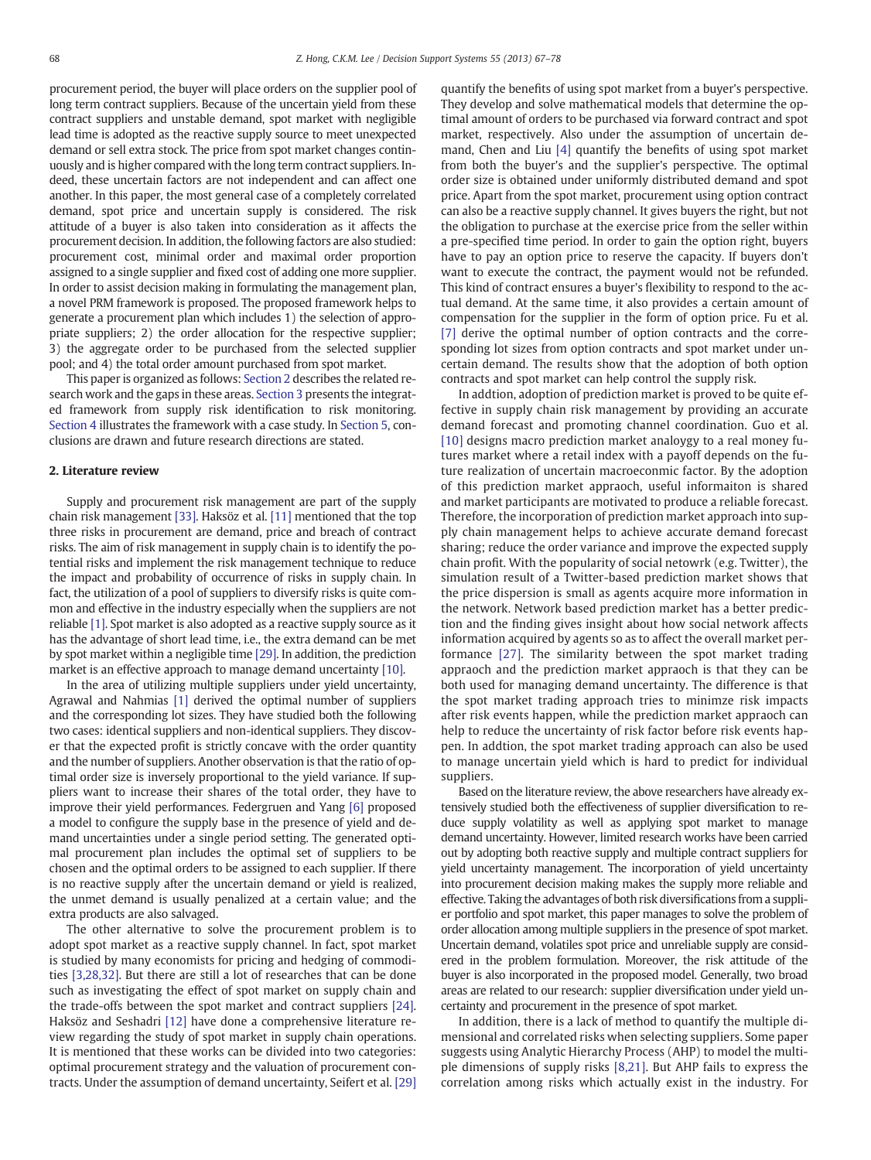procurement period, the buyer will place orders on the supplier pool of long term contract suppliers. Because of the uncertain yield from these contract suppliers and unstable demand, spot market with negligible lead time is adopted as the reactive supply source to meet unexpected demand or sell extra stock. The price from spot market changes continuously and is higher compared with the long term contract suppliers. Indeed, these uncertain factors are not independent and can affect one another. In this paper, the most general case of a completely correlated demand, spot price and uncertain supply is considered. The risk attitude of a buyer is also taken into consideration as it affects the procurement decision. In addition, the following factors are also studied: procurement cost, minimal order and maximal order proportion assigned to a single supplier and fixed cost of adding one more supplier. In order to assist decision making in formulating the management plan, a novel PRM framework is proposed. The proposed framework helps to generate a procurement plan which includes 1) the selection of appropriate suppliers; 2) the order allocation for the respective supplier; 3) the aggregate order to be purchased from the selected supplier pool; and 4) the total order amount purchased from spot market.

This paper is organized as follows: Section 2 describes the related research work and the gaps in these areas. [Section 3](#page--1-0) presents the integrated framework from supply risk identification to risk monitoring. [Section 4](#page--1-0) illustrates the framework with a case study. In [Section 5](#page--1-0), conclusions are drawn and future research directions are stated.

### 2. Literature review

Supply and procurement risk management are part of the supply chain risk management [\[33\].](#page--1-0) Haksöz et al. [\[11\]](#page--1-0) mentioned that the top three risks in procurement are demand, price and breach of contract risks. The aim of risk management in supply chain is to identify the potential risks and implement the risk management technique to reduce the impact and probability of occurrence of risks in supply chain. In fact, the utilization of a pool of suppliers to diversify risks is quite common and effective in the industry especially when the suppliers are not reliable [\[1\].](#page--1-0) Spot market is also adopted as a reactive supply source as it has the advantage of short lead time, i.e., the extra demand can be met by spot market within a negligible time [\[29\]](#page--1-0). In addition, the prediction market is an effective approach to manage demand uncertainty [\[10\].](#page--1-0)

In the area of utilizing multiple suppliers under yield uncertainty, Agrawal and Nahmias [\[1\]](#page--1-0) derived the optimal number of suppliers and the corresponding lot sizes. They have studied both the following two cases: identical suppliers and non-identical suppliers. They discover that the expected profit is strictly concave with the order quantity and the number of suppliers. Another observation is that the ratio of optimal order size is inversely proportional to the yield variance. If suppliers want to increase their shares of the total order, they have to improve their yield performances. Federgruen and Yang [\[6\]](#page--1-0) proposed a model to configure the supply base in the presence of yield and demand uncertainties under a single period setting. The generated optimal procurement plan includes the optimal set of suppliers to be chosen and the optimal orders to be assigned to each supplier. If there is no reactive supply after the uncertain demand or yield is realized, the unmet demand is usually penalized at a certain value; and the extra products are also salvaged.

The other alternative to solve the procurement problem is to adopt spot market as a reactive supply channel. In fact, spot market is studied by many economists for pricing and hedging of commodities [\[3,28,32\]](#page--1-0). But there are still a lot of researches that can be done such as investigating the effect of spot market on supply chain and the trade-offs between the spot market and contract suppliers [\[24\].](#page--1-0) Haksöz and Seshadri [\[12\]](#page--1-0) have done a comprehensive literature review regarding the study of spot market in supply chain operations. It is mentioned that these works can be divided into two categories: optimal procurement strategy and the valuation of procurement contracts. Under the assumption of demand uncertainty, Seifert et al. [\[29\]](#page--1-0) quantify the benefits of using spot market from a buyer's perspective. They develop and solve mathematical models that determine the optimal amount of orders to be purchased via forward contract and spot market, respectively. Also under the assumption of uncertain demand, Chen and Liu [\[4\]](#page--1-0) quantify the benefits of using spot market from both the buyer's and the supplier's perspective. The optimal order size is obtained under uniformly distributed demand and spot price. Apart from the spot market, procurement using option contract can also be a reactive supply channel. It gives buyers the right, but not the obligation to purchase at the exercise price from the seller within a pre-specified time period. In order to gain the option right, buyers have to pay an option price to reserve the capacity. If buyers don't want to execute the contract, the payment would not be refunded. This kind of contract ensures a buyer's flexibility to respond to the actual demand. At the same time, it also provides a certain amount of compensation for the supplier in the form of option price. Fu et al. [\[7\]](#page--1-0) derive the optimal number of option contracts and the corresponding lot sizes from option contracts and spot market under uncertain demand. The results show that the adoption of both option contracts and spot market can help control the supply risk.

In addtion, adoption of prediction market is proved to be quite effective in supply chain risk management by providing an accurate demand forecast and promoting channel coordination. Guo et al. [\[10\]](#page--1-0) designs macro prediction market analoygy to a real money futures market where a retail index with a payoff depends on the future realization of uncertain macroeconmic factor. By the adoption of this prediction market appraoch, useful informaiton is shared and market participants are motivated to produce a reliable forecast. Therefore, the incorporation of prediction market approach into supply chain management helps to achieve accurate demand forecast sharing; reduce the order variance and improve the expected supply chain profit. With the popularity of social netowrk (e.g. Twitter), the simulation result of a Twitter-based prediction market shows that the price dispersion is small as agents acquire more information in the network. Network based prediction market has a better prediction and the finding gives insight about how social network affects information acquired by agents so as to affect the overall market performance [\[27\]](#page--1-0). The similarity between the spot market trading appraoch and the prediction market appraoch is that they can be both used for managing demand uncertainty. The difference is that the spot market trading approach tries to minimze risk impacts after risk events happen, while the prediction market appraoch can help to reduce the uncertainty of risk factor before risk events happen. In addtion, the spot market trading approach can also be used to manage uncertain yield which is hard to predict for individual suppliers.

Based on the literature review, the above researchers have already extensively studied both the effectiveness of supplier diversification to reduce supply volatility as well as applying spot market to manage demand uncertainty. However, limited research works have been carried out by adopting both reactive supply and multiple contract suppliers for yield uncertainty management. The incorporation of yield uncertainty into procurement decision making makes the supply more reliable and effective. Taking the advantages of both risk diversifications from a supplier portfolio and spot market, this paper manages to solve the problem of order allocation among multiple suppliers in the presence of spot market. Uncertain demand, volatiles spot price and unreliable supply are considered in the problem formulation. Moreover, the risk attitude of the buyer is also incorporated in the proposed model. Generally, two broad areas are related to our research: supplier diversification under yield uncertainty and procurement in the presence of spot market.

In addition, there is a lack of method to quantify the multiple dimensional and correlated risks when selecting suppliers. Some paper suggests using Analytic Hierarchy Process (AHP) to model the multiple dimensions of supply risks [\[8,21\].](#page--1-0) But AHP fails to express the correlation among risks which actually exist in the industry. For